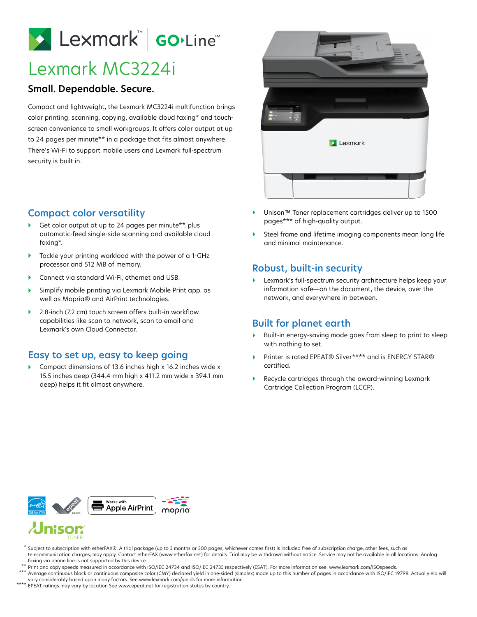Lexmark Go.Line

# Lexmark MC3224i

### **Small. Dependable. Secure.**

Compact and lightweight, the Lexmark MC3224i multifunction brings color printing, scanning, copying, available cloud faxing\* and touchscreen convenience to small workgroups. It offers color output at up to 24 pages per minute\*\* in a package that fits almost anywhere. There's Wi-Fi to support mobile users and Lexmark full-spectrum security is built in.



- Get color output at up to 24 pages per minute\*\*, plus automatic-feed single-side scanning and available cloud faxing\*.
- Tackle your printing workload with the power of a 1-GHz processor and 512 MB of memory.
- Connect via standard Wi-Fi, ethernet and USB.
- Simplify mobile printing via Lexmark Mobile Print app, as well as Mopria® and AirPrint technologies.
- ▶ 2.8-inch (7.2 cm) touch screen offers built-in workflow capabilities like scan to network, scan to email and Lexmark's own Cloud Connector.

# **Easy to set up, easy to keep going**

▶ Compact dimensions of 13.6 inches high x 16.2 inches wide x 15.5 inches deep (344.4 mm high x 411.2 mm wide x 394.1 mm deep) helps it fit almost anywhere.



- Unison™ Toner replacement cartridges deliver up to 1500 pages\*\*\* of high-quality output.
- Steel frame and lifetime imaging components mean long life and minimal maintenance.

### **Robust, built-in security**

 Lexmark's full-spectrum security architecture helps keep your information safe—on the document, the device, over the network, and everywhere in between.

# **Built for planet earth**

- Built-in energy-saving mode goes from sleep to print to sleep with nothing to set.
- Printer is rated EPEAT® Silver\*\*\*\* and is ENERGY STAR® certified.
- Recycle cartridges through the award-winning Lexmark Cartridge Collection Program (LCCP).



 $^\star$  Subject to subscription with etherFAX®. A trial package (up to 3 months or 300 pages, whichever comes first) is included free of subscription charge; other fees, such as telecommunication charges, may apply. Contact etherFAX (www.etherfax.net) for details. Trial may be withdrawn without notice. Service may not be available in all locations. Analog faxing via phone line is not supported by this device.

Print and copy speeds measured in accordance with ISO/IEC 24734 and ISO/IEC 24735 respectively (ESAT). For more information see: www.lexmark.com/ISOspeeds. Average continuous black or continuous composite color (CMY) declared yield in one-sided (simplex) mode up to this number of pages in accordance with ISO/IEC 19798. Actual yield will \*\* \*\*\*

- vary considerably based upon many factors. See www.lexmark.com/yields for more information.
- EPEAT ratings may vary by location See www.epeat.net for registration status by country. \*\*\*\*